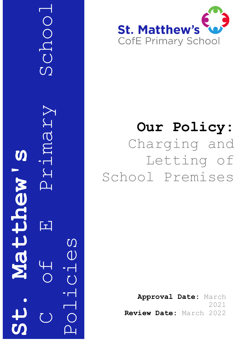C G H Primary School VIMAY S St. Matthew's wenttere 口 Policies

SCHOO



# **Our Policy:** Charging and Letting of School Premises

**Approval Date:** March 2021 **Review Date:** March 2022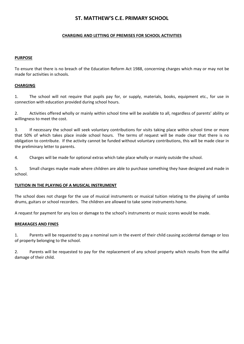# **ST. MATTHEW'S C.E. PRIMARY SCHOOL**

# **CHARGING AND LETTING OF PREMISES FOR SCHOOL ACTIVITIES**

## **PURPOSE**

To ensure that there is no breach of the Education Reform Act 1988, concerning charges which may or may not be made for activities in schools.

## **CHARGING**

1. The school will not require that pupils pay for, or supply, materials, books, equipment etc., for use in connection with education provided during school hours.

2. Activities offered wholly or mainly within school time will be available to all, regardless of parents' ability or willingness to meet the cost.

3. If necessary the school will seek voluntary contributions for visits taking place within school time or more that 50% of which takes place inside school hours. The terms of request will be made clear that there is no obligation to contribute. If the activity cannot be funded without voluntary contributions, this will be made clear in the preliminary letter to parents.

4. Charges will be made for optional extras which take place wholly or mainly outside the school.

5. Small charges maybe made where children are able to purchase something they have designed and made in school.

#### **TUITION IN THE PLAYING OF A MUSICAL INSTRUMENT**

The school does not charge for the use of musical instruments or musical tuition relating to the playing of samba drums, guitars or school recorders. The children are allowed to take some instruments home.

A request for payment for any loss or damage to the school's instruments or music scores would be made.

#### **BREAKAGES AND FINES**

1. Parents will be requested to pay a nominal sum in the event of their child causing accidental damage or loss of property belonging to the school.

2. Parents will be requested to pay for the replacement of any school property which results from the wilful damage of their child.